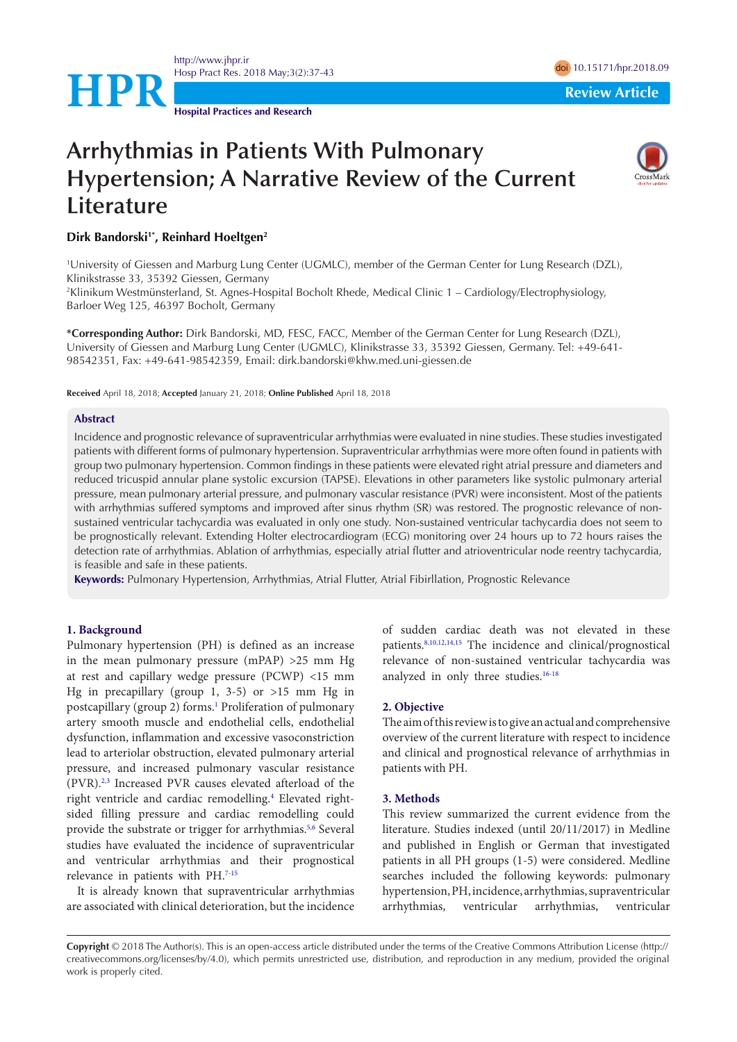<http://www.jhpr.ir> Hosp Pract Res. 2018 May;3(2):37-43 doi [10.15171/hpr.2018.0](https://doi.org/10.15171/hpr.2018.09)9

**Hospital Practices and Research**

**HPR**<br>**Review Article** 

# **Arrhythmias in Patients With Pulmonary Hypertension; A Narrative Review of the Current Literature**



# **Dirk Bandorski1\*, Reinhard Hoeltgen2**

1 University of Giessen and Marburg Lung Center (UGMLC), member of the German Center for Lung Research (DZL), Klinikstrasse 33, 35392 Giessen, Germany

2 Klinikum Westmünsterland, St. Agnes-Hospital Bocholt Rhede, Medical Clinic 1 – Cardiology/Electrophysiology, Barloer Weg 125, 46397 Bocholt, Germany

**\*Corresponding Author:** Dirk Bandorski, MD, FESC, FACC, Member of the German Center for Lung Research (DZL), University of Giessen and Marburg Lung Center (UGMLC), Klinikstrasse 33, 35392 Giessen, Germany. Tel: +49-641- 98542351, Fax: +49-641-98542359, Email: dirk.bandorski@khw.med.uni-giessen.de

**Received** April 18, 2018; **Accepted** January 21, 2018; **Online Published** April 18, 2018

#### **Abstract**

Incidence and prognostic relevance of supraventricular arrhythmias were evaluated in nine studies. These studies investigated patients with different forms of pulmonary hypertension. Supraventricular arrhythmias were more often found in patients with group two pulmonary hypertension. Common findings in these patients were elevated right atrial pressure and diameters and reduced tricuspid annular plane systolic excursion (TAPSE). Elevations in other parameters like systolic pulmonary arterial pressure, mean pulmonary arterial pressure, and pulmonary vascular resistance (PVR) were inconsistent. Most of the patients with arrhythmias suffered symptoms and improved after sinus rhythm (SR) was restored. The prognostic relevance of nonsustained ventricular tachycardia was evaluated in only one study. Non-sustained ventricular tachycardia does not seem to be prognostically relevant. Extending Holter electrocardiogram (ECG) monitoring over 24 hours up to 72 hours raises the detection rate of arrhythmias. Ablation of arrhythmias, especially atrial flutter and atrioventricular node reentry tachycardia, is feasible and safe in these patients.

**Keywords:** Pulmonary Hypertension, Arrhythmias, Atrial Flutter, Atrial Fibirllation, Prognostic Relevance

# **1. Background**

Pulmonary hypertension (PH) is defined as an increase in the mean pulmonary pressure (mPAP) >25 mm Hg at rest and capillary wedge pressure (PCWP) <15 mm Hg in precapillary (group 1, 3-5) or >15 mm Hg in postcapillary (group 2) forms.<sup>1</sup> Proliferation of pulmonary artery smooth muscle and endothelial cells, endothelial dysfunction, inflammation and excessive vasoconstriction lead to arteriolar obstruction, elevated pulmonary arterial pressure, and increased pulmonary vascular resistance (PVR).<sup>[2,](#page-6-1)[3](#page-6-2)</sup> Increased PVR causes elevated afterload of the right ventricle and cardiac remodelling.<sup>[4](#page-6-3)</sup> Elevated rightsided filling pressure and cardiac remodelling could provide the substrate or trigger for arrhythmias.<sup>[5,](#page-6-4)[6](#page-6-5)</sup> Several studies have evaluated the incidence of supraventricular and ventricular arrhythmias and their prognostical relevance in patients with PH.<sup>[7-](#page-6-6)[15](#page-6-7)</sup>

It is already known that supraventricular arrhythmias are associated with clinical deterioration, but the incidence of sudden cardiac death was not elevated in these patients.[8,](#page-6-8)[10](#page-6-9),[12](#page-6-10),[14](#page-6-11),[15](#page-6-7) The incidence and clinical/prognostical relevance of non-sustained ventricular tachycardia was analyzed in only three studies.<sup>16-[18](#page-6-13)</sup>

#### **2. Objective**

The aim of this review is to give an actual and comprehensive overview of the current literature with respect to incidence and clinical and prognostical relevance of arrhythmias in patients with PH.

#### **3. Methods**

This review summarized the current evidence from the literature. Studies indexed (until 20/11/2017) in Medline and published in English or German that investigated patients in all PH groups (1-5) were considered. Medline searches included the following keywords: pulmonary hypertension, PH, incidence, arrhythmias, supraventricular arrhythmias, ventricular arrhythmias, ventricular

**Copyright** © 2018 The Author(s). This is an open-access article distributed under the terms of the Creative Commons Attribution License (http:// creativecommons.org/licenses/by/4.0), which permits unrestricted use, distribution, and reproduction in any medium, provided the original work is properly cited.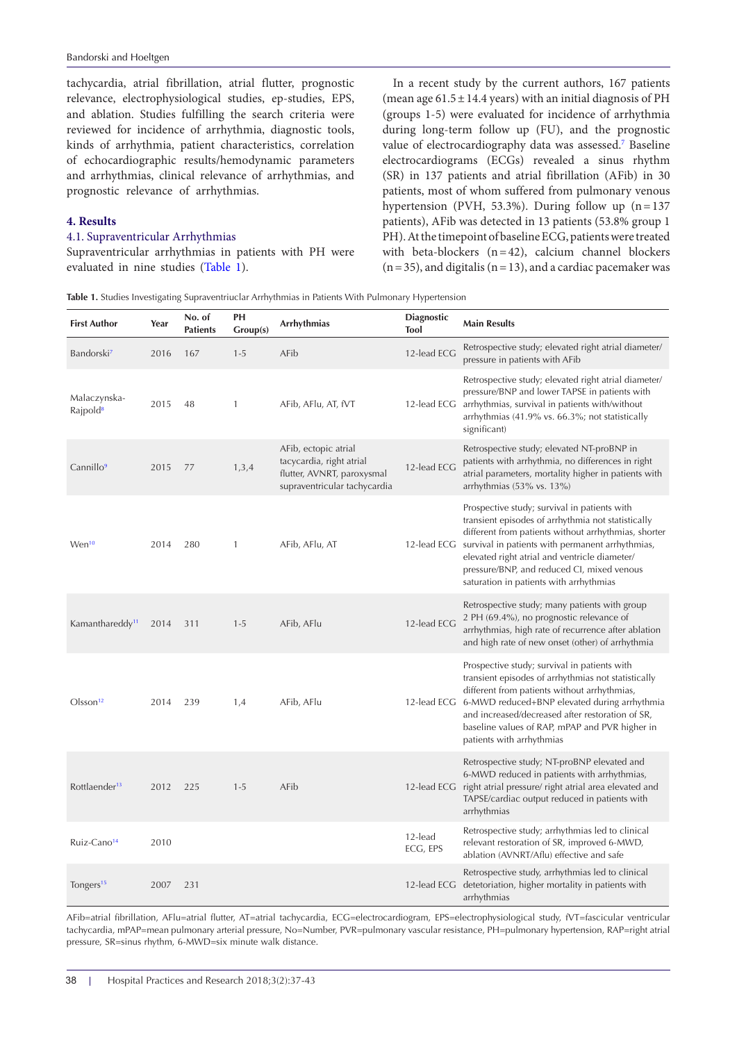tachycardia, atrial fibrillation, atrial flutter, prognostic relevance, electrophysiological studies, ep-studies, EPS, and ablation. Studies fulfilling the search criteria were reviewed for incidence of arrhythmia, diagnostic tools, kinds of arrhythmia, patient characteristics, correlation of echocardiographic results/hemodynamic parameters and arrhythmias, clinical relevance of arrhythmias, and prognostic relevance of arrhythmias.

#### **4. Results**

# 4.1. Supraventricular Arrhythmias

Supraventricular arrhythmias in patients with PH were evaluated in nine studies ([Table 1](#page-1-0)).

In a recent study by the current authors, 167 patients (mean age  $61.5 \pm 14.4$  years) with an initial diagnosis of PH (groups 1-5) were evaluated for incidence of arrhythmia during long-term follow up (FU), and the prognostic value of electrocardiography data was assessed.<sup>7</sup> Baseline electrocardiograms (ECGs) revealed a sinus rhythm (SR) in 137 patients and atrial fibrillation (AFib) in 30 patients, most of whom suffered from pulmonary venous hypertension (PVH, 53.3%). During follow up  $(n=137)$ patients), AFib was detected in 13 patients (53.8% group 1 PH). At the timepoint of baseline ECG, patients were treated with beta-blockers  $(n=42)$ , calcium channel blockers  $(n=35)$ , and digitalis  $(n=13)$ , and a cardiac pacemaker was

<span id="page-1-0"></span>

|  |  |  |  | Table 1. Studies Investigating Supraventriuclar Arrhythmias in Patients With Pulmonary Hypertension |  |  |  |  |
|--|--|--|--|-----------------------------------------------------------------------------------------------------|--|--|--|--|
|--|--|--|--|-----------------------------------------------------------------------------------------------------|--|--|--|--|

| <b>First Author</b>                  | Year | No. of<br><b>Patients</b> | PH<br>Group(s) | Arrhythmias                                                                                                    | <b>Diagnostic</b><br><b>Tool</b> | <b>Main Results</b>                                                                                                                                                                                                                                                                                                                                                  |
|--------------------------------------|------|---------------------------|----------------|----------------------------------------------------------------------------------------------------------------|----------------------------------|----------------------------------------------------------------------------------------------------------------------------------------------------------------------------------------------------------------------------------------------------------------------------------------------------------------------------------------------------------------------|
| Bandorski <sup>7</sup>               | 2016 | 167                       | $1 - 5$        | AFib                                                                                                           | 12-lead ECG                      | Retrospective study; elevated right atrial diameter/<br>pressure in patients with AFib                                                                                                                                                                                                                                                                               |
| Malaczynska-<br>Rajpold <sup>8</sup> | 2015 | 48                        | $\mathbf{1}$   | AFib, AFlu, AT, fVT                                                                                            | 12-lead ECG                      | Retrospective study; elevated right atrial diameter/<br>pressure/BNP and lower TAPSE in patients with<br>arrhythmias, survival in patients with/without<br>arrhythmias (41.9% vs. 66.3%; not statistically<br>significant)                                                                                                                                           |
| Cannillo <sup>9</sup>                | 2015 | 77                        | 1,3,4          | AFib, ectopic atrial<br>tacycardia, right atrial<br>flutter, AVNRT, paroxysmal<br>supraventricular tachycardia | 12-lead ECG                      | Retrospective study; elevated NT-proBNP in<br>patients with arrhythmia, no differences in right<br>atrial parameters, mortality higher in patients with<br>arrhythmias $(53\% \text{ vs. } 13\%)$                                                                                                                                                                    |
| Wen <sup>10</sup>                    | 2014 | 280                       | $\mathbf{1}$   | AFib, AFlu, AT                                                                                                 |                                  | Prospective study; survival in patients with<br>transient episodes of arrhythmia not statistically<br>different from patients without arrhythmias, shorter<br>12-lead ECG survival in patients with permanent arrhythmias,<br>elevated right atrial and ventricle diameter/<br>pressure/BNP, and reduced CI, mixed venous<br>saturation in patients with arrhythmias |
| Kamanthareddy <sup>11</sup>          | 2014 | 311                       | $1 - 5$        | AFib, AFlu                                                                                                     | 12-lead ECG                      | Retrospective study; many patients with group<br>2 PH (69.4%), no prognostic relevance of<br>arrhythmias, high rate of recurrence after ablation<br>and high rate of new onset (other) of arrhythmia                                                                                                                                                                 |
| $O$ <sub>sson<sup>12</sup></sub>     | 2014 | 239                       | 1,4            | AFib, AFlu                                                                                                     |                                  | Prospective study; survival in patients with<br>transient episodes of arrhythmias not statistically<br>different from patients without arrhythmias,<br>12-lead ECG 6-MWD reduced+BNP elevated during arrhythmia<br>and increased/decreased after restoration of SR,<br>baseline values of RAP, mPAP and PVR higher in<br>patients with arrhythmias                   |
| Rottlaender <sup>13</sup>            | 2012 | 225                       | $1 - 5$        | AFib                                                                                                           |                                  | Retrospective study; NT-proBNP elevated and<br>6-MWD reduced in patients with arrhythmias,<br>12-lead ECG right atrial pressure/ right atrial area elevated and<br>TAPSE/cardiac output reduced in patients with<br>arrhythmias                                                                                                                                      |
| Ruiz-Cano <sup>14</sup>              | 2010 |                           |                |                                                                                                                | 12-lead<br>ECG, EPS              | Retrospective study; arrhythmias led to clinical<br>relevant restoration of SR, improved 6-MWD,<br>ablation (AVNRT/Aflu) effective and safe                                                                                                                                                                                                                          |
| Tongers <sup>15</sup>                | 2007 | 231                       |                |                                                                                                                |                                  | Retrospective study, arrhythmias led to clinical<br>12-lead ECG detetoriation, higher mortality in patients with<br>arrhythmias                                                                                                                                                                                                                                      |

AFib=atrial fibrillation, AFlu=atrial flutter, AT=atrial tachycardia, ECG=electrocardiogram, EPS=electrophysiological study, fVT=fascicular ventricular tachycardia, mPAP=mean pulmonary arterial pressure, No=Number, PVR=pulmonary vascular resistance, PH=pulmonary hypertension, RAP=right atrial pressure, SR=sinus rhythm, 6-MWD=six minute walk distance.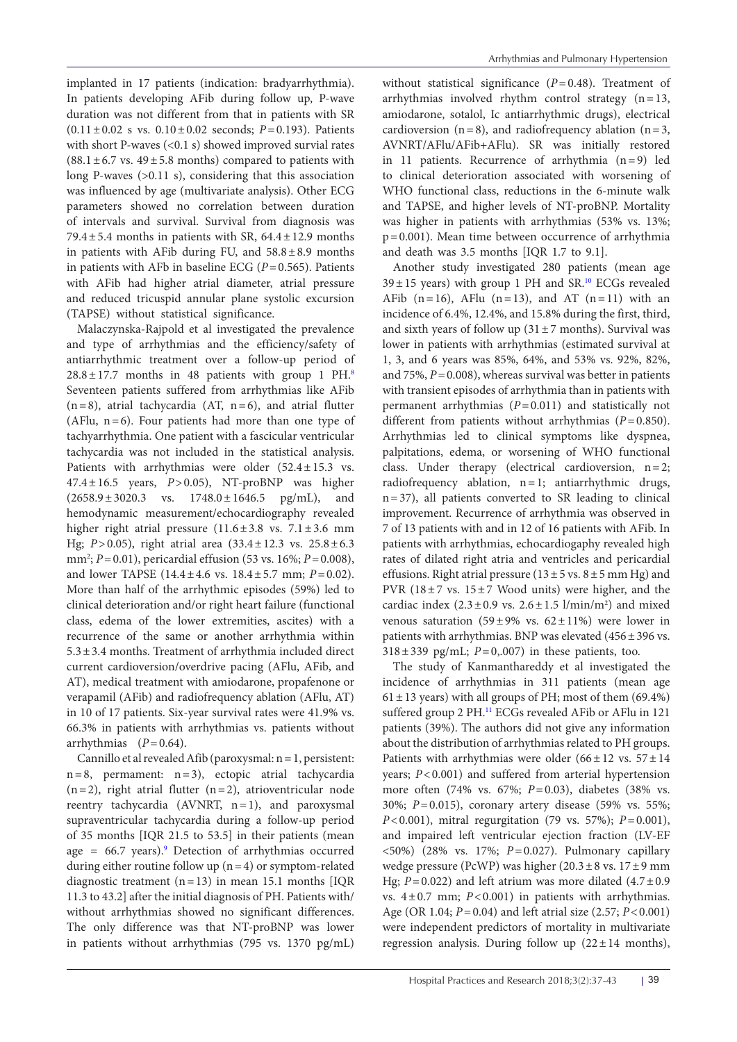implanted in 17 patients (indication: bradyarrhythmia). In patients developing AFib during follow up, P-wave duration was not different from that in patients with SR (0.11±0.02 s vs. 0.10±0.02 seconds; *P*=0.193). Patients with short P-waves (<0.1 s) showed improved survial rates  $(88.1 \pm 6.7 \text{ vs. } 49 \pm 5.8 \text{ months})$  compared to patients with long P-waves (>0.11 s), considering that this association was influenced by age (multivariate analysis). Other ECG parameters showed no correlation between duration of intervals and survival. Survival from diagnosis was 79.4 $\pm$ 5.4 months in patients with SR, 64.4 $\pm$ 12.9 months in patients with AFib during FU, and  $58.8 \pm 8.9$  months in patients with AFb in baseline ECG (*P*=0.565). Patients with AFib had higher atrial diameter, atrial pressure and reduced tricuspid annular plane systolic excursion (TAPSE) without statistical significance.

Malaczynska-Rajpold et al investigated the prevalence and type of arrhythmias and the efficiency/safety of antiarrhythmic treatment over a follow-up period of  $28.8 \pm 17.7$  $28.8 \pm 17.7$  $28.8 \pm 17.7$  months in 48 patients with group 1 PH.<sup>8</sup> Seventeen patients suffered from arrhythmias like AFib  $(n=8)$ , atrial tachycardia (AT,  $n=6$ ), and atrial flutter (AFlu, n=6). Four patients had more than one type of tachyarrhythmia. One patient with a fascicular ventricular tachycardia was not included in the statistical analysis. Patients with arrhythmias were older (52.4±15.3 vs. 47.4±16.5 years, *P*>0.05), NT-proBNP was higher  $(2658.9 \pm 3020.3 \text{ vs. } 1748.0 \pm 1646.5 \text{ pg/mL}), \text{ and}$ hemodynamic measurement/echocardiography revealed higher right atrial pressure  $(11.6 \pm 3.8 \text{ vs. } 7.1 \pm 3.6 \text{ mm})$ Hg; *P*>0.05), right atrial area (33.4±12.3 vs. 25.8±6.3 mm2 ; *P*=0.01), pericardial effusion (53 vs. 16%; *P*=0.008), and lower TAPSE (14.4±4.6 vs. 18.4±5.7 mm; *P*=0.02). More than half of the arrhythmic episodes (59%) led to clinical deterioration and/or right heart failure (functional class, edema of the lower extremities, ascites) with a recurrence of the same or another arrhythmia within 5.3±3.4 months. Treatment of arrhythmia included direct current cardioversion/overdrive pacing (AFlu, AFib, and AT), medical treatment with amiodarone, propafenone or verapamil (AFib) and radiofrequency ablation (AFlu, AT) in 10 of 17 patients. Six-year survival rates were 41.9% vs. 66.3% in patients with arrhythmias vs. patients without arrhythmias  $(P=0.64)$ .

Cannillo et al revealed Afib (paroxysmal: n=1, persistent: n=8, permament: n=3), ectopic atrial tachycardia  $(n=2)$ , right atrial flutter  $(n=2)$ , atrioventricular node reentry tachycardia (AVNRT, n=1), and paroxysmal supraventricular tachycardia during a follow-up period of 35 months [IQR 21.5 to 53.5] in their patients (mean age =  $66.7$  years).<sup>9</sup> Detection of arrhythmias occurred during either routine follow up  $(n=4)$  or symptom-related diagnostic treatment  $(n=13)$  in mean 15.1 months [IQR 11.3 to 43.2] after the initial diagnosis of PH. Patients with/ without arrhythmias showed no significant differences. The only difference was that NT-proBNP was lower in patients without arrhythmias (795 vs. 1370 pg/mL)

without statistical significance (*P*=0.48). Treatment of arrhythmias involved rhythm control strategy (n=13, amiodarone, sotalol, Ic antiarrhythmic drugs), electrical cardioversion ( $n=8$ ), and radiofrequency ablation ( $n=3$ , AVNRT/AFlu/AFib+AFlu). SR was initially restored in 11 patients. Recurrence of arrhythmia (n=9) led to clinical deterioration associated with worsening of WHO functional class, reductions in the 6-minute walk and TAPSE, and higher levels of NT-proBNP. Mortality was higher in patients with arrhythmias (53% vs. 13%; p=0.001). Mean time between occurrence of arrhythmia and death was 3.5 months [IQR 1.7 to 9.1].

Another study investigated 280 patients (mean age  $39 \pm 15$  years) with group 1 PH and SR.<sup>10</sup> ECGs revealed AFib  $(n=16)$ , AFlu  $(n=13)$ , and AT  $(n=11)$  with an incidence of 6.4%, 12.4%, and 15.8% during the first, third, and sixth years of follow up  $(31\pm7 \text{ months})$ . Survival was lower in patients with arrhythmias (estimated survival at 1, 3, and 6 years was 85%, 64%, and 53% vs. 92%, 82%, and  $75\%$ ,  $P=0.008$ ), whereas survival was better in patients with transient episodes of arrhythmia than in patients with permanent arrhythmias (*P*=0.011) and statistically not different from patients without arrhythmias (*P*=0.850). Arrhythmias led to clinical symptoms like dyspnea, palpitations, edema, or worsening of WHO functional class. Under therapy (electrical cardioversion, n=2; radiofrequency ablation, n=1; antiarrhythmic drugs, n=37), all patients converted to SR leading to clinical improvement. Recurrence of arrhythmia was observed in 7 of 13 patients with and in 12 of 16 patients with AFib. In patients with arrhythmias, echocardiogaphy revealed high rates of dilated right atria and ventricles and pericardial effusions. Right atrial pressure  $(13 \pm 5 \text{ vs. } 8 \pm 5 \text{ mm Hg})$  and PVR  $(18\pm7 \text{ vs. } 15\pm7 \text{ Wood units})$  were higher, and the cardiac index  $(2.3 \pm 0.9 \text{ vs. } 2.6 \pm 1.5 \text{ l/min/m}^2)$  and mixed venous saturation (59±9% vs.  $62 \pm 11\%$ ) were lower in patients with arrhythmias. BNP was elevated (456±396 vs.  $318 \pm 339$  pg/mL;  $P=0,0007$  in these patients, too.

The study of Kanmanthareddy et al investigated the incidence of arrhythmias in 311 patients (mean age  $61 \pm 13$  years) with all groups of PH; most of them (69.4%) suffered group 2 PH.<sup>11</sup> ECGs revealed AFib or AFlu in 121 patients (39%). The authors did not give any information about the distribution of arrhythmias related to PH groups. Patients with arrhythmias were older  $(66 \pm 12 \text{ vs. } 57 \pm 14$ years; *P*<0.001) and suffered from arterial hypertension more often (74% vs. 67%; *P*=0.03), diabetes (38% vs. 30%; *P*=0.015), coronary artery disease (59% vs. 55%; *P*<0.001), mitral regurgitation (79 vs. 57%); *P*=0.001), and impaired left ventricular ejection fraction (LV-EF <50%) (28% vs. 17%; *P*=0.027). Pulmonary capillary wedge pressure (PcWP) was higher  $(20.3 \pm 8 \text{ vs. } 17 \pm 9 \text{ mm})$ Hg;  $P=0.022$ ) and left atrium was more dilated  $(4.7\pm0.9$ vs. 4±0.7 mm; *P*<0.001) in patients with arrhythmias. Age (OR 1.04; *P*=0.04) and left atrial size (2.57; *P*<0.001) were independent predictors of mortality in multivariate regression analysis. During follow up  $(22 \pm 14 \text{ months})$ ,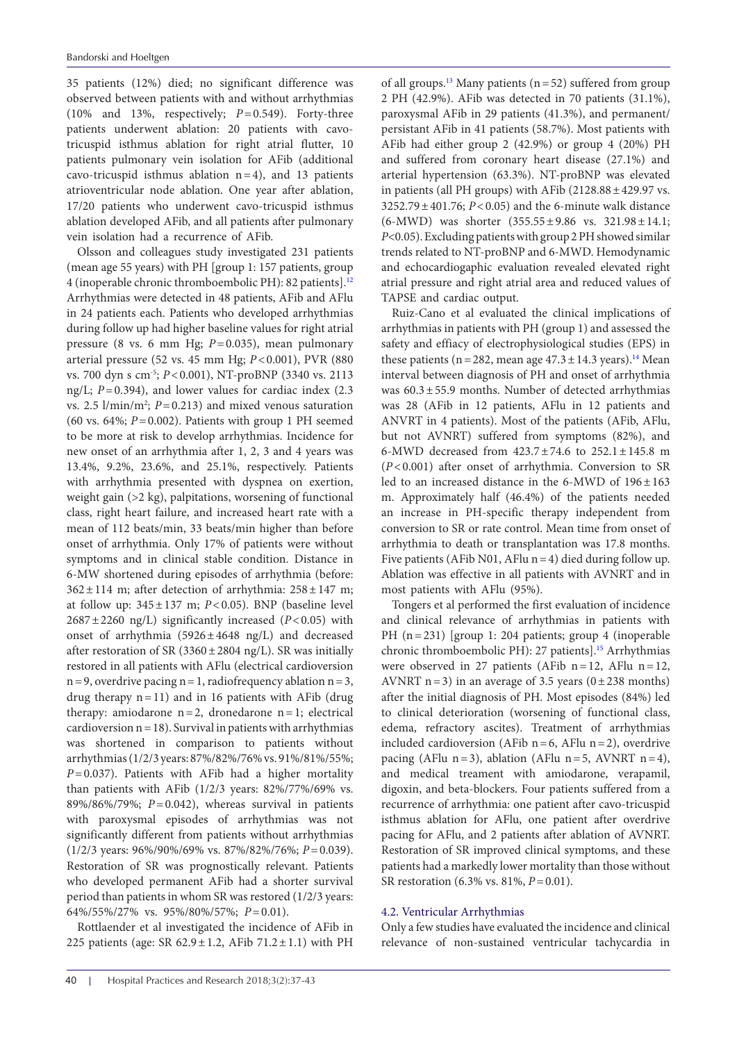35 patients (12%) died; no significant difference was observed between patients with and without arrhythmias (10% and 13%, respectively; *P*=0.549). Forty-three patients underwent ablation: 20 patients with cavotricuspid isthmus ablation for right atrial flutter, 10 patients pulmonary vein isolation for AFib (additional cavo-tricuspid isthmus ablation  $n=4$ ), and 13 patients atrioventricular node ablation. One year after ablation, 17/20 patients who underwent cavo-tricuspid isthmus ablation developed AFib, and all patients after pulmonary vein isolation had a recurrence of AFib.

Olsson and colleagues study investigated 231 patients (mean age 55 years) with PH [group 1: 157 patients, group 4 (inoperable chronic thromboembolic PH): 82 patients].[12](#page-6-10) Arrhythmias were detected in 48 patients, AFib and AFlu in 24 patients each. Patients who developed arrhythmias during follow up had higher baseline values for right atrial pressure (8 vs. 6 mm Hg; *P*=0.035), mean pulmonary arterial pressure (52 vs. 45 mm Hg; *P*<0.001), PVR (880 vs. 700 dyn s cm-5; *P*<0.001), NT-proBNP (3340 vs. 2113 ng/L; *P*=0.394), and lower values for cardiac index (2.3 vs.  $2.5 \frac{\text{l}}{\text{min}}$ ;  $P = 0.213$ ) and mixed venous saturation (60 vs. 64%; *P*=0.002). Patients with group 1 PH seemed to be more at risk to develop arrhythmias. Incidence for new onset of an arrhythmia after 1, 2, 3 and 4 years was 13.4%, 9.2%, 23.6%, and 25.1%, respectively. Patients with arrhythmia presented with dyspnea on exertion, weight gain (>2 kg), palpitations, worsening of functional class, right heart failure, and increased heart rate with a mean of 112 beats/min, 33 beats/min higher than before onset of arrhythmia. Only 17% of patients were without symptoms and in clinical stable condition. Distance in 6-MW shortened during episodes of arrhythmia (before:  $362 \pm 114$  m; after detection of arrhythmia:  $258 \pm 147$  m; at follow up:  $345 \pm 137$  m;  $P < 0.05$ ). BNP (baseline level 2687±2260 ng/L) significantly increased (*P*<0.05) with onset of arrhythmia  $(5926 \pm 4648 \text{ ng/L})$  and decreased after restoration of SR (3360 $\pm$ 2804 ng/L). SR was initially restored in all patients with AFlu (electrical cardioversion  $n=9$ , overdrive pacing  $n=1$ , radiofrequency ablation  $n=3$ , drug therapy n=11) and in 16 patients with AFib (drug therapy: amiodarone  $n=2$ , dronedarone  $n=1$ ; electrical cardioversion  $n=18$ ). Survival in patients with arrhythmias was shortened in comparison to patients without arrhythmias (1/2/3 years: 87%/82%/76% vs. 91%/81%/55%; *P*=0.037). Patients with AFib had a higher mortality than patients with AFib (1/2/3 years: 82%/77%/69% vs. 89%/86%/79%; *P*=0.042), whereas survival in patients with paroxysmal episodes of arrhythmias was not significantly different from patients without arrhythmias (1/2/3 years: 96%/90%/69% vs. 87%/82%/76%; *P*=0.039). Restoration of SR was prognostically relevant. Patients who developed permanent AFib had a shorter survival period than patients in whom SR was restored (1/2/3 years: 64%/55%/27% vs. 95%/80%/57%; *P*=0.01).

Rottlaender et al investigated the incidence of AFib in 225 patients (age: SR  $62.9 \pm 1.2$ , AFib  $71.2 \pm 1.1$ ) with PH

of all groups.<sup>13</sup> Many patients ( $n=52$ ) suffered from group 2 PH (42.9%). AFib was detected in 70 patients (31.1%), paroxysmal AFib in 29 patients (41.3%), and permanent/ persistant AFib in 41 patients (58.7%). Most patients with AFib had either group 2 (42.9%) or group 4 (20%) PH and suffered from coronary heart disease (27.1%) and arterial hypertension (63.3%). NT-proBNP was elevated in patients (all PH groups) with AFib (2128.88±429.97 vs. 3252.79±401.76; *P*<0.05) and the 6-minute walk distance (6-MWD) was shorter (355.55±9.86 vs. 321.98±14.1; *P*<0.05). Excluding patients with group 2 PH showed similar trends related to NT-proBNP and 6-MWD. Hemodynamic and echocardiogaphic evaluation revealed elevated right atrial pressure and right atrial area and reduced values of TAPSE and cardiac output.

Ruiz-Cano et al evaluated the clinical implications of arrhythmias in patients with PH (group 1) and assessed the safety and effiacy of electrophysiological studies (EPS) in these patients (n = 282, mean age  $47.3 \pm 14.3$  $47.3 \pm 14.3$  $47.3 \pm 14.3$  years).<sup>14</sup> Mean interval between diagnosis of PH and onset of arrhythmia was 60.3±55.9 months. Number of detected arrhythmias was 28 (AFib in 12 patients, AFlu in 12 patients and ANVRT in 4 patients). Most of the patients (AFib, AFlu, but not AVNRT) suffered from symptoms (82%), and 6-MWD decreased from 423.7±74.6 to 252.1±145.8 m (*P*<0.001) after onset of arrhythmia. Conversion to SR led to an increased distance in the 6-MWD of  $196 \pm 163$ m. Approximately half (46.4%) of the patients needed an increase in PH-specific therapy independent from conversion to SR or rate control. Mean time from onset of arrhythmia to death or transplantation was 17.8 months. Five patients (AFib N01, AFlu  $n=4$ ) died during follow up. Ablation was effective in all patients with AVNRT and in most patients with AFlu (95%).

Tongers et al performed the first evaluation of incidence and clinical relevance of arrhythmias in patients with PH (n=231) [group 1: 204 patients; group 4 (inoperable chronic thromboembolic PH): 27 patients].<sup>15</sup> Arrhythmias were observed in 27 patients (AFib n=12, AFlu n=12, AVNRT n=3) in an average of 3.5 years ( $0±238$  months) after the initial diagnosis of PH. Most episodes (84%) led to clinical deterioration (worsening of functional class, edema, refractory ascites). Treatment of arrhythmias included cardioversion (AFib  $n=6$ , AFlu  $n=2$ ), overdrive pacing (AFlu n=3), ablation (AFlu n=5, AVNRT n=4), and medical treament with amiodarone, verapamil, digoxin, and beta-blockers. Four patients suffered from a recurrence of arrhythmia: one patient after cavo-tricuspid isthmus ablation for AFlu, one patient after overdrive pacing for AFlu, and 2 patients after ablation of AVNRT. Restoration of SR improved clinical symptoms, and these patients had a markedly lower mortality than those without SR restoration (6.3% vs. 81%, *P*=0.01).

#### 4.2. Ventricular Arrhythmias

Only a few studies have evaluated the incidence and clinical relevance of non-sustained ventricular tachycardia in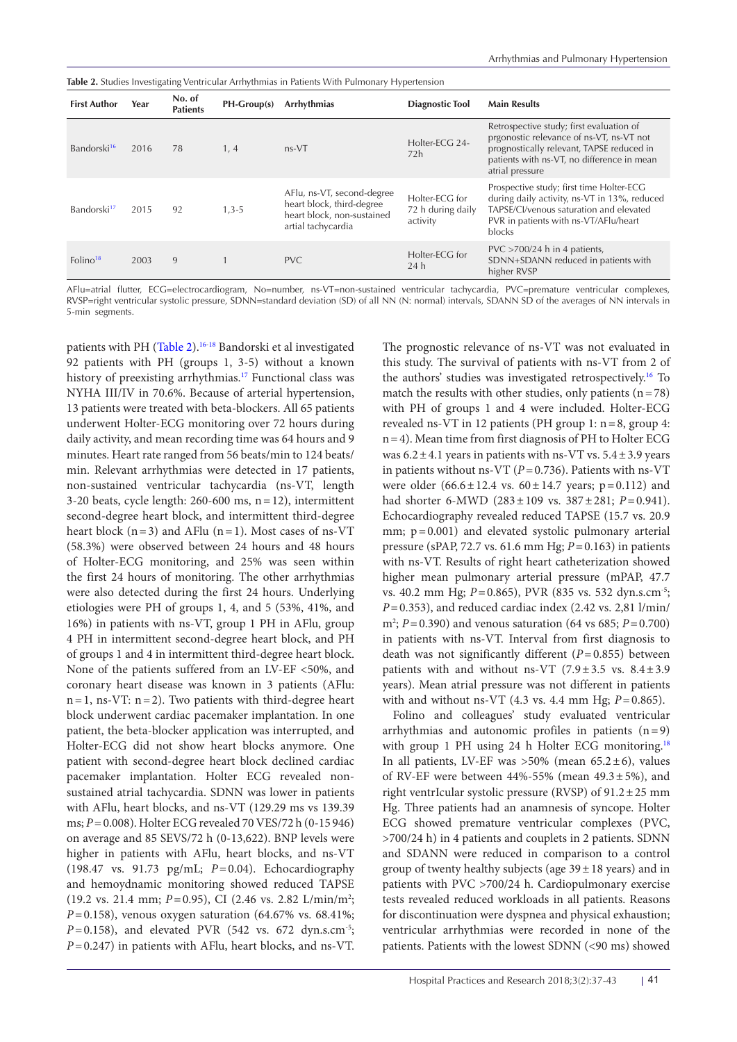<span id="page-4-0"></span>

| <b>Table 2.</b> Studies Investigating Ventricular Arrhythmias in Patients With Pulmonary Hypertension |  |  |
|-------------------------------------------------------------------------------------------------------|--|--|
|-------------------------------------------------------------------------------------------------------|--|--|

| <b>First Author</b>     | Year | No. of<br><b>Patients</b> | $PH-Group(s)$ | Arrhythmias                                                                                                 | <b>Diagnostic Tool</b>                          | <b>Main Results</b>                                                                                                                                                                                |
|-------------------------|------|---------------------------|---------------|-------------------------------------------------------------------------------------------------------------|-------------------------------------------------|----------------------------------------------------------------------------------------------------------------------------------------------------------------------------------------------------|
| Bandorski <sup>16</sup> | 2016 | 78                        | 1, 4          | $ns-VT$                                                                                                     | Holter-ECG 24-<br>72h                           | Retrospective study; first evaluation of<br>prgonostic relevance of ns-VT, ns-VT not<br>prognostically relevant, TAPSE reduced in<br>patients with ns-VT, no difference in mean<br>atrial pressure |
| Bandorski <sup>17</sup> | 2015 | 92                        | $1,3-5$       | AFlu, ns-VT, second-degree<br>heart block, third-degree<br>heart block, non-sustained<br>artial tachycardia | Holter-ECG for<br>72 h during daily<br>activity | Prospective study; first time Holter-ECG<br>during daily activity, ns-VT in 13%, reduced<br>TAPSE/CI/venous saturation and elevated<br>PVR in patients with ns-VT/AFlu/heart<br>blocks             |
| Folino <sup>18</sup>    | 2003 | 9                         |               | PVC.                                                                                                        | Holter-ECG for<br>24h                           | $PVC > 700/24$ h in 4 patients,<br>SDNN+SDANN reduced in patients with<br>higher RVSP                                                                                                              |

AFlu=atrial flutter, ECG=electrocardiogram, No=number, ns-VT=non-sustained ventricular tachycardia, PVC=premature ventricular complexes, RVSP=right ventricular systolic pressure, SDNN=standard deviation (SD) of all NN (N: normal) intervals, SDANN SD of the averages of NN intervals in 5-min segments.

patients with PH ([Table 2](#page-4-0))[.16-](#page-6-12)[18](#page-6-13) Bandorski et al investigated 92 patients with PH (groups 1, 3-5) without a known history of preexisting arrhythmias.<sup>[17](#page-6-17)</sup> Functional class was NYHA III/IV in 70.6%. Because of arterial hypertension, 13 patients were treated with beta-blockers. All 65 patients underwent Holter-ECG monitoring over 72 hours during daily activity, and mean recording time was 64 hours and 9 minutes. Heart rate ranged from 56 beats/min to 124 beats/ min. Relevant arrhythmias were detected in 17 patients, non-sustained ventricular tachycardia (ns-VT, length 3-20 beats, cycle length: 260-600 ms, n=12), intermittent second-degree heart block, and intermittent third-degree heart block  $(n=3)$  and AFlu  $(n=1)$ . Most cases of ns-VT (58.3%) were observed between 24 hours and 48 hours of Holter-ECG monitoring, and 25% was seen within the first 24 hours of monitoring. The other arrhythmias were also detected during the first 24 hours. Underlying etiologies were PH of groups 1, 4, and 5 (53%, 41%, and 16%) in patients with ns-VT, group 1 PH in AFlu, group 4 PH in intermittent second-degree heart block, and PH of groups 1 and 4 in intermittent third-degree heart block. None of the patients suffered from an LV-EF <50%, and coronary heart disease was known in 3 patients (AFlu:  $n=1$ , ns-VT:  $n=2$ ). Two patients with third-degree heart block underwent cardiac pacemaker implantation. In one patient, the beta-blocker application was interrupted, and Holter-ECG did not show heart blocks anymore. One patient with second-degree heart block declined cardiac pacemaker implantation. Holter ECG revealed nonsustained atrial tachycardia. SDNN was lower in patients with AFlu, heart blocks, and ns-VT (129.29 ms vs 139.39 ms; *P*=0.008). Holter ECG revealed 70 VES/72 h (0-15 946) on average and 85 SEVS/72 h (0-13,622). BNP levels were higher in patients with AFlu, heart blocks, and ns-VT (198.47 vs. 91.73 pg/mL; *P*=0.04). Echocardiography and hemoydnamic monitoring showed reduced TAPSE (19.2 vs. 21.4 mm; *P*=0.95), CI (2.46 vs. 2.82 L/min/m2 ; *P*=0.158), venous oxygen saturation (64.67% vs. 68.41%;  $P=0.158$ ), and elevated PVR (542 vs. 672 dyn.s.cm<sup>-5</sup>; *P*=0.247) in patients with AFlu, heart blocks, and ns-VT.

The prognostic relevance of ns-VT was not evaluated in this study. The survival of patients with ns-VT from 2 of the authors' studies was investigated retrospectively.<sup>16</sup> To match the results with other studies, only patients  $(n=78)$ with PH of groups 1 and 4 were included. Holter-ECG revealed ns-VT in 12 patients (PH group 1: n=8, group 4: n=4). Mean time from first diagnosis of PH to Holter ECG was  $6.2 \pm 4.1$  years in patients with ns-VT vs.  $5.4 \pm 3.9$  years in patients without ns-VT (*P*=0.736). Patients with ns-VT were older  $(66.6 \pm 12.4 \text{ vs. } 60 \pm 14.7 \text{ years}; \text{ p}=0.112)$  and had shorter 6-MWD (283±109 vs. 387±281; *P*=0.941). Echocardiography revealed reduced TAPSE (15.7 vs. 20.9 mm;  $p=0.001$ ) and elevated systolic pulmonary arterial pressure (sPAP, 72.7 vs. 61.6 mm Hg; *P*=0.163) in patients with ns-VT. Results of right heart catheterization showed higher mean pulmonary arterial pressure (mPAP, 47.7 vs. 40.2 mm Hg; *P*=0.865), PVR (835 vs. 532 dyn.s.cm-5; *P*=0.353), and reduced cardiac index (2.42 vs. 2,81 l/min/ m2 ; *P*=0.390) and venous saturation (64 vs 685; *P*=0.700) in patients with ns-VT. Interval from first diagnosis to death was not significantly different (*P*=0.855) between patients with and without ns-VT  $(7.9 \pm 3.5 \text{ vs. } 8.4 \pm 3.9)$ years). Mean atrial pressure was not different in patients with and without ns-VT (4.3 vs. 4.4 mm Hg; *P*=0.865).

Folino and colleagues' study evaluated ventricular arrhythmias and autonomic profiles in patients  $(n=9)$ with group 1 PH using 24 h Holter ECG monitoring.<sup>[18](#page-6-13)</sup> In all patients, LV-EF was  $>50\%$  (mean  $65.2 \pm 6$ ), values of RV-EF were between  $44\%$ -55% (mean  $49.3 \pm 5\%$ ), and right ventrIcular systolic pressure (RVSP) of  $91.2 \pm 25$  mm Hg. Three patients had an anamnesis of syncope. Holter ECG showed premature ventricular complexes (PVC, >700/24 h) in 4 patients and couplets in 2 patients. SDNN and SDANN were reduced in comparison to a control group of twenty healthy subjects (age  $39 \pm 18$  years) and in patients with PVC >700/24 h. Cardiopulmonary exercise tests revealed reduced workloads in all patients. Reasons for discontinuation were dyspnea and physical exhaustion; ventricular arrhythmias were recorded in none of the patients. Patients with the lowest SDNN (<90 ms) showed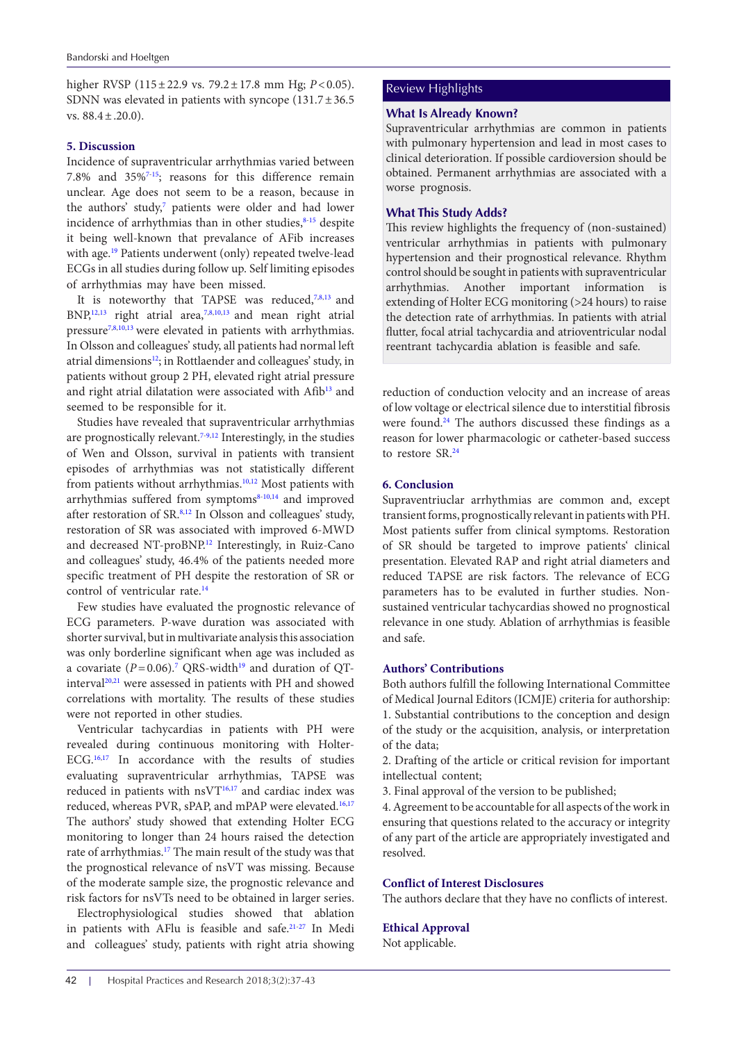higher RVSP (115±22.9 vs. 79.2±17.8 mm Hg; *P*<0.05). SDNN was elevated in patients with syncope  $(131.7 \pm 36.5$ vs.  $88.4 \pm .20.0$ ).

#### **5. Discussion**

Incidence of supraventricular arrhythmias varied between 7.8% and 35%[7-](#page-6-6)[15](#page-6-7); reasons for this difference remain unclear. Age does not seem to be a reason, because in the authors' study,<sup>7</sup> patients were older and had lower incidence of arrhythmias than in other studies, $8-15$  $8-15$  despite it being well-known that prevalance of AFib increases with age.<sup>[19](#page-6-18)</sup> Patients underwent (only) repeated twelve-lead ECGs in all studies during follow up. Self limiting episodes of arrhythmias may have been missed.

It is noteworthy that TAPSE was reduced,<sup>[7](#page-6-6),[8,](#page-6-8)[13](#page-6-16)</sup> and  $BNP<sub>12,13</sub>$  $BNP<sub>12,13</sub>$  $BNP<sub>12,13</sub>$  $BNP<sub>12,13</sub>$  $BNP<sub>12,13</sub>$  right atrial area,<sup>[7,](#page-6-6)[8,](#page-6-8)[10,](#page-6-9)13</sup> and mean right atrial pressure<sup>7[,8](#page-6-8)[,10](#page-6-9)[,13](#page-6-16)</sup> were elevated in patients with arrhythmias. In Olsson and colleagues' study, all patients had normal left atrial dimensions<sup>[12](#page-6-10)</sup>; in Rottlaender and colleagues' study, in patients without group 2 PH, elevated right atrial pressure and right atrial dilatation were associated with Afib<sup>[13](#page-6-16)</sup> and seemed to be responsible for it.

Studies have revealed that supraventricular arrhythmias are prognostically relevant.[7-](#page-6-6)[9](#page-6-14),[12](#page-6-10) Interestingly, in the studies of Wen and Olsson, survival in patients with transient episodes of arrhythmias was not statistically different from patients without arrhythmias.<sup>[10](#page-6-9),[12](#page-6-10)</sup> Most patients with arrhythmias suffered from symptoms $8-10,14$  $8-10,14$  $8-10,14$  $8-10,14$  and improved after restoration of SR.<sup>8,12</sup> In Olsson and colleagues' study, restoration of SR was associated with improved 6-MWD and decreased NT-proBNP.<sup>12</sup> Interestingly, in Ruiz-Cano and colleagues' study, 46.4% of the patients needed more specific treatment of PH despite the restoration of SR or control of ventricular rate.<sup>[14](#page-6-11)</sup>

Few studies have evaluated the prognostic relevance of ECG parameters. P-wave duration was associated with shorter survival, but in multivariate analysis this association was only borderline significant when age was included as a covariate  $(P=0.06)$ .<sup>7</sup> QRS-width<sup>[19](#page-6-18)</sup> and duration of QT-interval<sup>[20](#page-6-19),[21](#page-6-20)</sup> were assessed in patients with PH and showed correlations with mortality. The results of these studies were not reported in other studies.

Ventricular tachycardias in patients with PH were revealed during continuous monitoring with Holter-ECG.<sup>[16](#page-6-12),[17](#page-6-17)</sup> In accordance with the results of studies evaluating supraventricular arrhythmias, TAPSE was reduced in patients with nsVT<sup>16,17</sup> and cardiac index was reduced, whereas PVR, sPAP, and mPAP were elevated.<sup>[16](#page-6-12),[17](#page-6-17)</sup> The authors' study showed that extending Holter ECG monitoring to longer than 24 hours raised the detection rate of arrhythmias[.17](#page-6-17) The main result of the study was that the prognostical relevance of nsVT was missing. Because of the moderate sample size, the prognostic relevance and risk factors for nsVTs need to be obtained in larger series.

Electrophysiological studies showed that ablation in patients with AFlu is feasible and safe.[21](#page-6-20)[-27](#page-6-21) In Medi and colleagues' study, patients with right atria showing

# Review Highlights

# **What Is Already Known?**

Supraventricular arrhythmias are common in patients with pulmonary hypertension and lead in most cases to clinical deterioration. If possible cardioversion should be obtained. Permanent arrhythmias are associated with a worse prognosis.

#### **What This Study Adds?**

This review highlights the frequency of (non-sustained) ventricular arrhythmias in patients with pulmonary hypertension and their prognostical relevance. Rhythm control should be sought in patients with supraventricular arrhythmias. Another important information is extending of Holter ECG monitoring (>24 hours) to raise the detection rate of arrhythmias. In patients with atrial flutter, focal atrial tachycardia and atrioventricular nodal reentrant tachycardia ablation is feasible and safe.

reduction of conduction velocity and an increase of areas of low voltage or electrical silence due to interstitial fibrosis were found.<sup>24</sup> The authors discussed these findings as a reason for lower pharmacologic or catheter-based success to restore SR[.24](#page-6-22)

### **6. Conclusion**

Supraventriuclar arrhythmias are common and, except transient forms, prognostically relevant in patients with PH. Most patients suffer from clinical symptoms. Restoration of SR should be targeted to improve patients' clinical presentation. Elevated RAP and right atrial diameters and reduced TAPSE are risk factors. The relevance of ECG parameters has to be evaluted in further studies. Nonsustained ventricular tachycardias showed no prognostical relevance in one study. Ablation of arrhythmias is feasible and safe.

#### **Authors' Contributions**

Both authors fulfill the following International Committee of Medical Journal Editors (ICMJE) criteria for authorship: 1. Substantial contributions to the conception and design of the study or the acquisition, analysis, or interpretation of the data;

2. Drafting of the article or critical revision for important intellectual content;

3. Final approval of the version to be published;

4. Agreement to be accountable for all aspects of the work in ensuring that questions related to the accuracy or integrity of any part of the article are appropriately investigated and resolved.

#### **Conflict of Interest Disclosures**

The authors declare that they have no conflicts of interest.

### **Ethical Approval**

Not applicable.